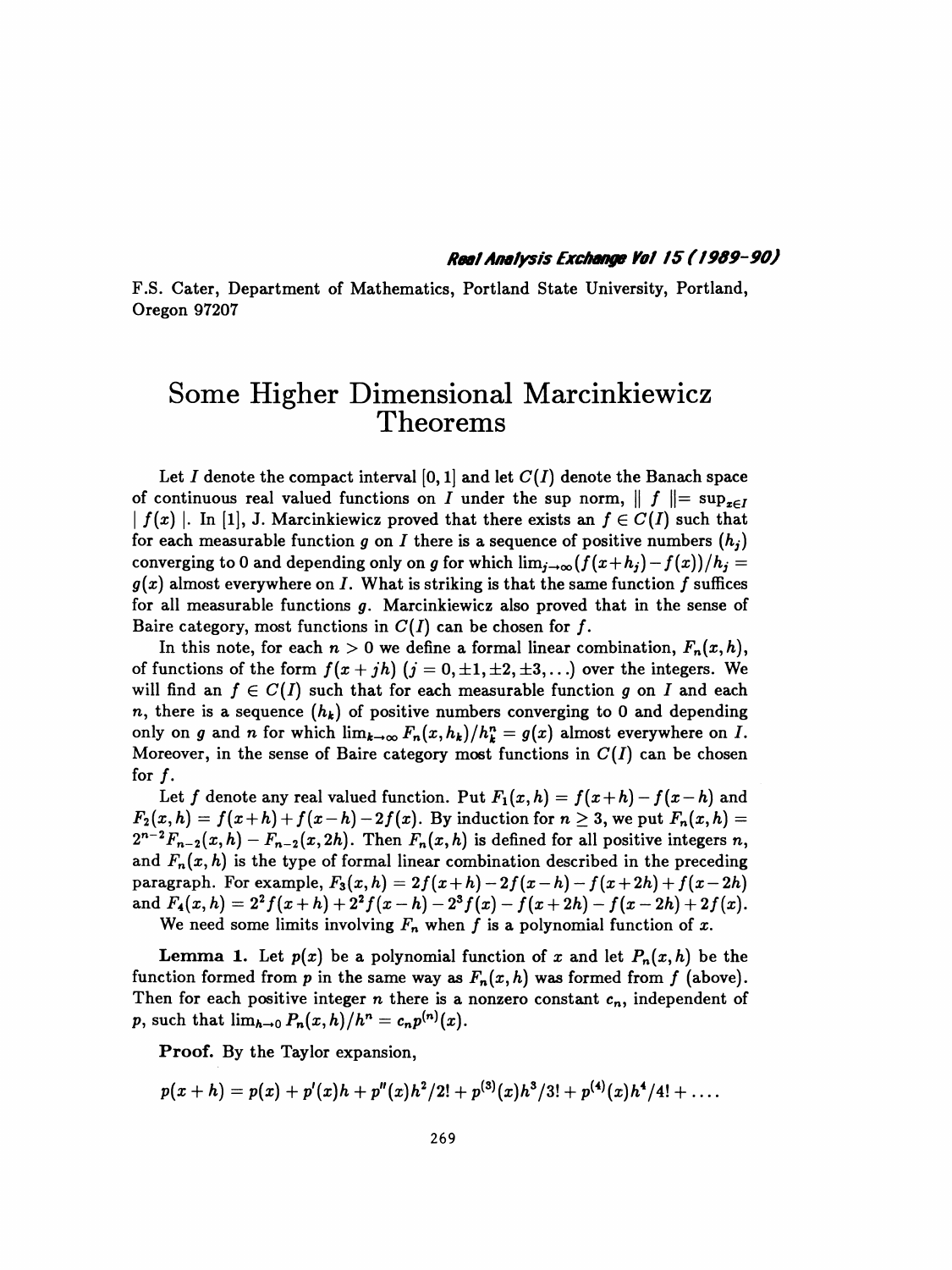## Real Analysis Exchange Vol 15 (1989-90)

 F.S. Cater, Department of Mathematics, Portland State University, Portland, Oregon 97207

## Some Higher Dimensional Marcinkiewicz Theorems

Let I denote the compact interval [0, 1] and let  $C(I)$  denote the Banach space of continuous real valued functions on I under the sup norm,  $|| f || = \sup_{x \in I}$  $|f(x)|$ . In [1], J. Marcinkiewicz proved that there exists an  $f \in C(I)$  such that for each measurable function g on I there is a sequence of positive numbers  $(h_i)$ converging to 0 and depending only on g for which  $\lim_{i\to\infty} {f(x+h_i) - f(x)}/h_i =$  $g(x)$  almost everywhere on I. What is striking is that the same function f suffices for all measurable functions  $g$ . Marcinkiewicz also proved that in the sense of Baire category, most functions in  $C(I)$  can be chosen for f.

In this note, for each  $n > 0$  we define a formal linear combination,  $F_n(x,h)$ , of functions of the form  $f(x + jh)$   $(j = 0, \pm 1, \pm 2, \pm 3, ...)$  over the integers. We will find an  $f \in C(I)$  such that for each measurable function g on I and each n, there is a sequence  $(h_k)$  of positive numbers converging to 0 and depending only on g and n for which  $\lim_{k\to\infty} F_n(x, h_k)/h_k^n = g(x)$  almost everywhere on I. Moreover, in the sense of Baire category most functions in  $C(I)$  can be chosen for  $f$ .

Let f denote any real valued function. Put  $F_1(x,h) = f(x+h) - f(x-h)$  and  $F_2(x,h) = f(x+h) + f(x-h) - 2f(x)$ . By induction for  $n \geq 3$ , we put  $F_n(x,h) =$  $2^{n-2}F_{n-2}(x, h) - F_{n-2}(x, 2h)$ . Then  $F_n(x, h)$  is defined for all positive integers n, and  $F_n(x, h)$  is the type of formal linear combination described in the preceding paragraph. For example,  $F_3(x, h) = 2f(x+h) - 2f(x-h) - f(x+2h) + f(x-2h)$ and  $F_4(x,h) = 2^2 f(x+h) + 2^2 f(x-h) - 2^3 f(x) - f(x+2h) - f(x-2h) + 2f(x)$ . We need some limits involving  $F_n$  when f is a polynomial function of x.

**Lemma 1.** Let  $p(x)$  be a polynomial function of x and let  $P_n(x,h)$  be the function formed from p in the same way as  $F_n(x,h)$  was formed from f (above). Then for each positive integer  $n$  there is a nonzero constant  $c_n$ , independent of p, such that  $\lim_{h\to 0} P_n(x, h)/h^n = c_n p^{(n)}(x)$ .

Proof. By the Taylor expansion,

$$
p(x+h)=p(x)+p'(x)h+p''(x)h^2/2!+p^{(3)}(x)h^3/3!+p^{(4)}(x)h^4/4!+\ldots.
$$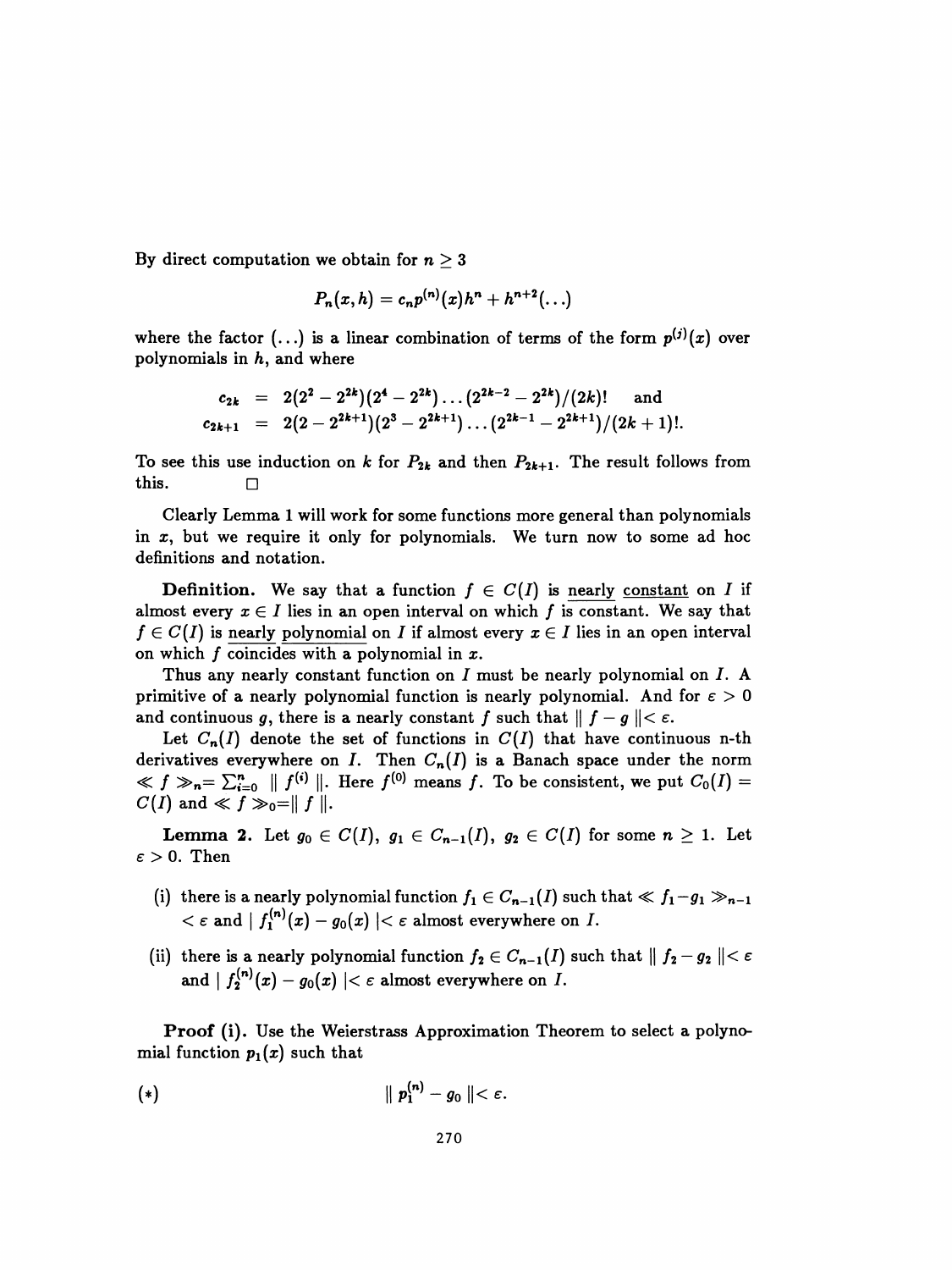By direct computation we obtain for  $n \geq 3$ 

$$
P_n(x,h)=c_np^{(n)}(x)h^n+h^{n+2}(\ldots)
$$

where the factor  $(...)$  is a linear combination of terms of the form  $p^{(i)}(x)$  over polynomials in  $h$ , and where

$$
\begin{array}{rcl} c_{2k} & = & 2(2^2-2^{2k})(2^4-2^{2k})\ldots (2^{2k-2}-2^{2k})/(2k)! \quad \textrm{ and} \\ c_{2k+1} & = & 2(2-2^{2k+1})(2^3-2^{2k+1})\ldots (2^{2k-1}-2^{2k+1})/(2k+1)! . \end{array}
$$

To see this use induction on k for  $P_{2k}$  and then  $P_{2k+1}$ . The result follows from this.

 Clearly Lemma 1 will work for some functions more general than polynomials in  $x$ , but we require it only for polynomials. We turn now to some ad hoc definitions and notation.

**Definition.** We say that a function  $f \in C(I)$  is nearly constant on I if almost every  $x \in I$  lies in an open interval on which f is constant. We say that  $f \in C(I)$  is nearly polynomial on I if almost every  $x \in I$  lies in an open interval on which  $f$  coincides with a polynomial in  $x$ .

Thus any nearly constant function on I must be nearly polynomial on I. A primitive of a nearly polynomial function is nearly polynomial. And for  $\varepsilon > 0$ and continuous g, there is a nearly constant f such that  $|| f - g || < \varepsilon$ .

Let  $C_n(I)$  denote the set of functions in  $C(I)$  that have continuous n-th derivatives everywhere on I. Then  $C_n(I)$  is a Banach space under the norm  $\ll f \gg_n = \sum_{i=0}^n || f^{(i)} ||$ . Here  $f^{(0)}$  means f. To be consistent, we put  $C_0(I)$  =  $C(I)$  and  $\ll f \gg_0 = || f ||.$ 

**Lemma 2.** Let  $g_0 \in C(I)$ ,  $g_1 \in C_{n-1}(I)$ ,  $g_2 \in C(I)$  for some  $n \geq 1$ . Let  $\varepsilon > 0$ . Then

- (i) there is a nearly polynomial function  $f_1 \in C_{n-1}(I)$  such that  $\ll f_1 g_1 \gg_{n-1}$  $<\varepsilon$  and  $\mid f_1^{(n)}(x)-g_0(x)\mid<\varepsilon$  almost everywhere on  $I.$
- (ii) there is a nearly polynomial function  $f_2 \in C_{n-1}(I)$  such that  $|| f_2 g_2 || < \varepsilon$ and  $| f_2^{(n)}(x) - g_0(x) | < \varepsilon$  almost everywhere on I.

 Proof (i). Use the Weierstrass Approximation Theorem to select a polyno mial function  $p_1(x)$  such that

$$
(*) \qquad \qquad || p_1^{(n)} - g_0 || < \varepsilon.
$$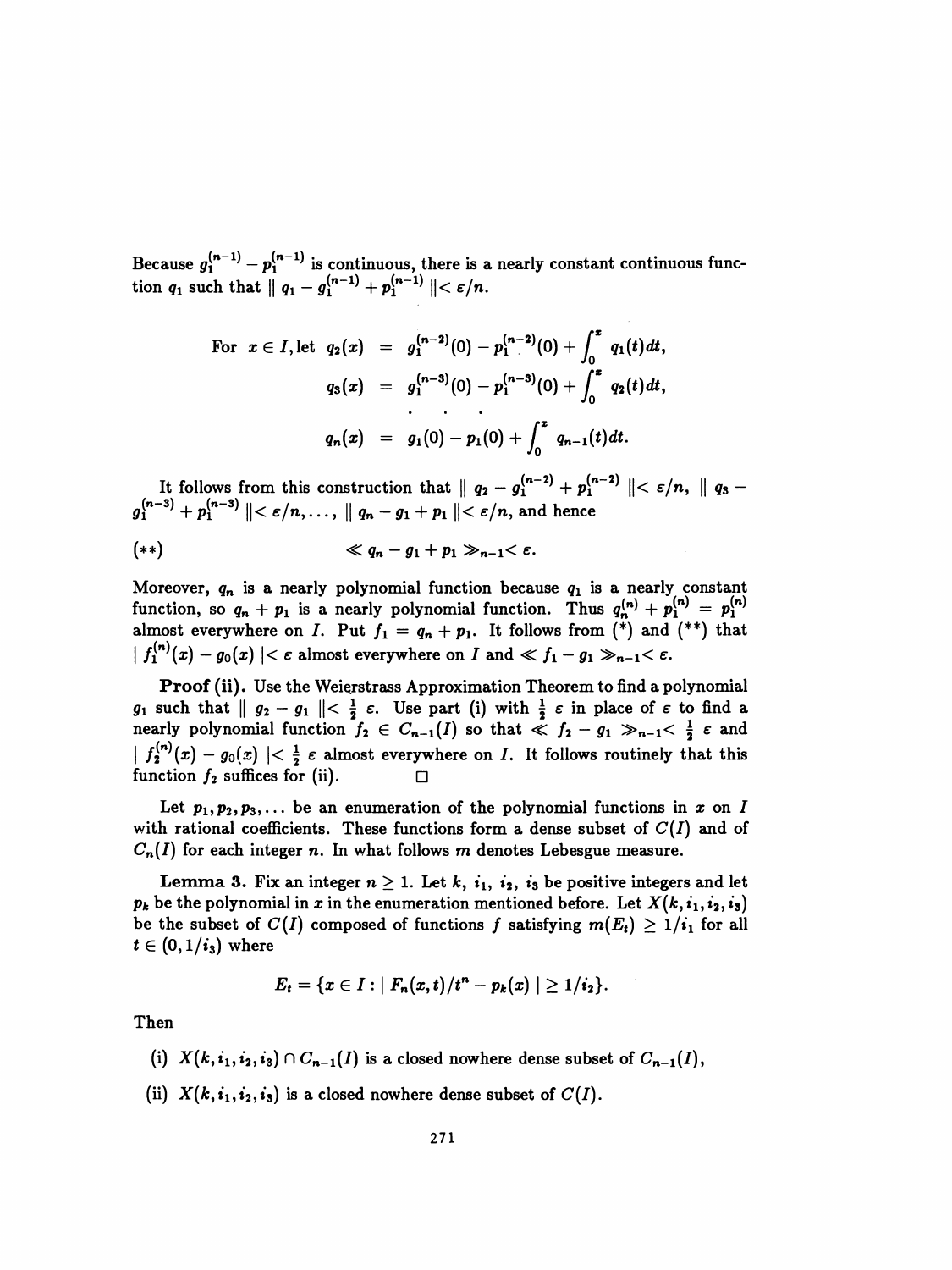Because  $g_1$   $- p_1$  is continuous, there is a nearly constant continuous function  $q_1$  such that  $|| q_1 - g_1^{\prime\prime} \prime + p_1^{\prime\prime} \prime || \lt \varepsilon/n$ .

For 
$$
x \in I
$$
, let  $q_2(x) = g_1^{(n-2)}(0) - p_1^{(n-2)}(0) + \int_0^x q_1(t) dt$ ,  
\n
$$
q_3(x) = g_1^{(n-3)}(0) - p_1^{(n-3)}(0) + \int_0^x q_2(t) dt
$$
,  
\n...  
\n
$$
q_n(x) = g_1(0) - p_1(0) + \int_0^x q_{n-1}(t) dt
$$
.

It follows from this construction that  $\| q_2 - y_1 + p_1 \| \leq \epsilon$  $y_1 \quad \top \, p_1 \quad \parallel \, \sim \, e / n, \ldots, \parallel q_n - y_1 + p_1 \parallel \, \sim \, e / n, \, a.$ 

$$
(**) \qquad \qquad \ll q_n - g_1 + p_1 \gg_{n-1} < \varepsilon.
$$

Moreover,  $q_n$  is a nearly polynomial function because  $q_1$  is a nearly constant function, so  $q_n + p_1$  is a nearly polynomial function. Thus  $q_n^{(n)} + p_1^{(n)} = p_1^{(n)}$ almost everywhere on I. Put  $f_1 = q_n + p_1$ . It follows from (\*) and (\*\*) that  $\left| f_1^{(n)}(x) - g_0(x) \right| < \varepsilon$  almost everywhere on I and  $\ll f_1 - g_1 \gg_{n-1} < \varepsilon$ .

Proof (ii). Use the Weięrstrass Approximation Theorem to find a polynomial  $g_1$  such that  $||g_2 - g_1|| < \frac{1}{2} \varepsilon$ . Use part (i) with  $\frac{1}{2} \varepsilon$  in place of  $\varepsilon$  to find a nearly polynomial function  $f_2 \in C_{n-1}(I)$  so that  $\leq f_2 - g_1 \gg_{n-1} < \frac{1}{2} \varepsilon$  and  $\left| \int_{2}^{(n)} (x) - g_0(x) \right| < \frac{1}{2} \varepsilon$  almost everywhere on *I*. It follows routinely that this function  $f_2$  suffices for (ii). function  $f_2$  suffices for (ii).

Let  $p_1, p_2, p_3, \ldots$  be an enumeration of the polynomial functions in x on I with rational coefficients. These functions form a dense subset of  $C(I)$  and of  $C_n(I)$  for each integer n. In what follows m denotes Lebesgue measure.

Lemma 3. Fix an integer  $n \geq 1$ . Let k,  $i_1$ ,  $i_2$ ,  $i_3$  be positive integers and let  $p_k$  be the polynomial in x in the enumeration mentioned before. Let  $X(k, i_1, i_2, i_3)$ be the subset of  $C(I)$  composed of functions f satisfying  $m(E_t) \geq 1/i_1$  for all  $t \in (0,1/i_3)$  where

$$
E_t = \{x \in I : |F_n(x,t)/t^n - p_k(x)| \geq 1/i_2\}.
$$

Then

- (i)  $X(k,i_1,i_2,i_3) \cap C_{n-1}(I)$  is a closed nowhere dense subset of  $C_{n-1}(I)$ ,
- (ii)  $X(k, i_1, i_2, i_3)$  is a closed nowhere dense subset of  $C(I)$ .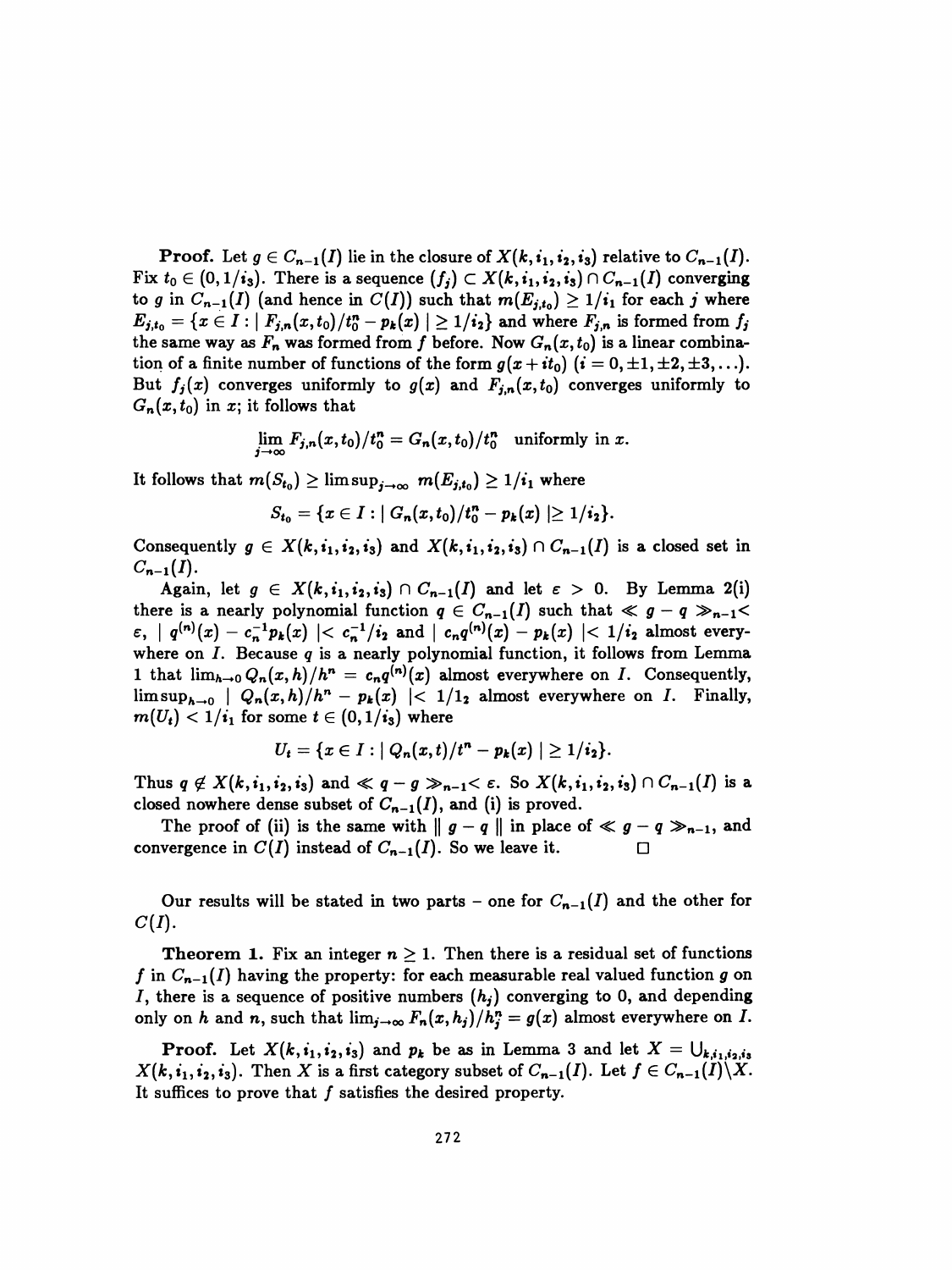**Proof.** Let  $g \in C_{n-1}(I)$  lie in the closure of  $X(k, i_1, i_2, i_3)$  relative to  $C_{n-1}(I)$ . Fix  $t_0 \in (0, 1/i_3)$ . There is a sequence  $(f_i) \subset X(k, i_1, i_2, i_3) \cap C_{n-1}(I)$  converging to g in  $C_{n-1}(I)$  (and hence in  $C(I)$ ) such that  $m(E_{j,t_0}) \geq 1/i_1$  for each j where  $E_{j,t_0} = \{x \in I : |F_{j,n}(x,t_0) / t_0^n - p_k(x)| \geq 1 / i_2\}$  and where  $F_{j,n}$  is formed from  $f_j$ the same way as  $F_n$  was formed from f before. Now  $G_n(x,t_0)$  is a linear combination of a finite number of functions of the form  $g(x+it_0)$   $(i=0,\pm 1,\pm 2,\pm 3,\ldots).$ But  $f_j(x)$  converges uniformly to  $g(x)$  and  $F_{j,n}(x,t_0)$  converges uniformly to  $G_n(x,t_0)$  in x; it follows that

$$
\lim_{j\to\infty} F_{j,n}(x,t_0)/t_0^n = G_n(x,t_0)/t_0^n
$$
 uniformly in x.

It follows that  $m(S_{t_0}) \geq \limsup_{j\to\infty} m(E_{j,t_0}) \geq 1/i_1$  where

$$
S_{t_0} = \{x \in I : |G_n(x,t_0)/t_0^n - p_k(x)| \geq 1/i_2\}.
$$

Consequently  $g \in X(k, i_1, i_2, i_3)$  and  $X(k, i_1, i_2, i_3) \cap C_{n-1}(I)$  is a closed set in  $C_{n-1}(I)$ .

Again, let  $g \in X(k,i_1,i_2,i_3) \cap C_{n-1}(I)$  and let  $\varepsilon > 0$ . By Lemma 2(i) there is a nearly polynomial function  $q \in C_{n-1}(I)$  such that  $\ll g - q \gg_{n-1}$  $\epsilon$ ,  $| q^{(n)}(x) - c_n^{-1}p_k(x) | < c_n^{-1}/i_2$  and  $| c_nq^{(n)}(x) - p_k(x) | < 1/i_2$  almost everywhere on  $I$ . Because  $q$  is a nearly polynomial function, it follows from Lemma 1 that  $\lim_{h\to 0} Q_n(x,h)/h^n = c_n q^{(n)}(x)$  almost everywhere on I. Consequently,  $\limsup_{h\to 0}$  |  $Q_n(x,h)/h^n - p_k(x)$  |<  $1/1$ <sub>2</sub> almost everywhere on *I*. Finally,  $m(U_t) < 1/i_1$  for some  $t \in (0, 1/i_3)$  where

$$
U_t = \{x \in I : |Q_n(x,t)/t^n - p_k(x)| \geq 1/i_2\}.
$$

Thus  $q \notin X(k,i_1,i_2,i_3)$  and  $\ll q-g \gg_{n-1} < \varepsilon$ . So  $X(k,i_1,i_2,i_3) \cap C_{n-1}(I)$  is a closed nowhere dense subset of  $C_{n-1}(I)$ , and (i) is proved.

The proof of (ii) is the same with  $|| g - q ||$  in place of  $\ll g - q \gg_{n-1}$ , and convergence in  $C(I)$  instead of  $C_{n-1}(I)$ . So we leave it.  $\Box$ 

Our results will be stated in two parts – one for  $C_{n-1}(I)$  and the other for  $C(I).$ 

**Theorem 1.** Fix an integer  $n \geq 1$ . Then there is a residual set of functions f in  $C_{n-1}(I)$  having the property: for each measurable real valued function g on *I*, there is a sequence of positive numbers  $(h_j)$  converging to 0, and depending only on h and n, such that  $\lim_{j\to\infty} F_n(x,h_j)/h_j^n = g(x)$  almost everywhere on I.

**Proof.** Let  $X(k, i_1, i_2, i_3)$  and  $p_k$  be as in Lemma 3 and let  $X = \bigcup_{k,i_1,i_2,i_3}$  $X(k, i_1, i_2, i_3)$ . Then X is a first category subset of  $C_{n-1}(I)$ . Let  $f \in C_{n-1}(I) \backslash X$ . It suffices to prove that  $f$  satisfies the desired property.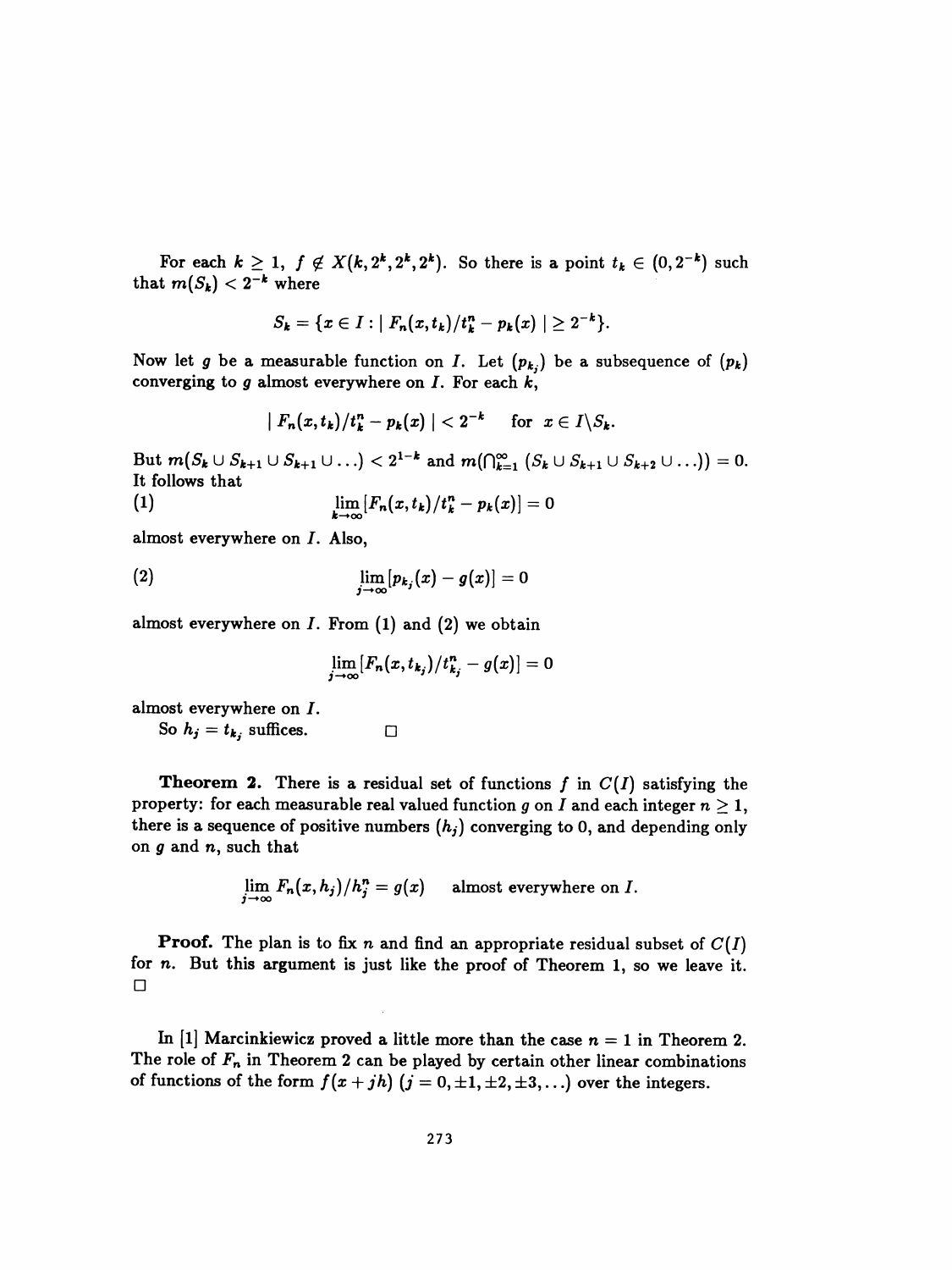For each  $k \geq 1$ ,  $f \notin X(k, 2^k, 2^k, 2^k)$ . So there is a point  $t_k \in (0, 2^{-k})$  such that  $m(S_k) < 2^{-k}$  where

$$
S_k = \{x \in I : |F_n(x,t_k)/t_k^n - p_k(x)| \geq 2^{-k}\}.
$$

Now let g be a measurable function on I. Let  $(p_{k_j})$  be a subsequence of  $(p_k)$ converging to  $g$  almost everywhere on  $I$ . For each  $k$ ,

$$
|F_n(x,t_k)/t_k^n - p_k(x)| < 2^{-k} \quad \text{ for } x \in I \setminus S_k.
$$

But  $m(S_k \cup S_{k+1} \cup S_{k+1} \cup ...) < 2^{1-k}$  and  $m(\bigcap_{k=1}^{\infty} (S_k \cup S_{k+1} \cup S_{k+2} \cup ...))= 0.$ It follows that

$$
\lim_{k\to\infty}[F_n(x,t_k)/t_k^n-p_k(x)]=0
$$

almost everywhere on I. Also,

$$
\lim_{j\to\infty}[p_{k_j}(x)-g(x)]=0
$$

almost everywhere on  $I$ . From  $(1)$  and  $(2)$  we obtain

$$
\lim_{j\to\infty}[F_n(x,t_{k_j})/t^n_{k_j}-g(x)]=0
$$

almost everywhere on *I*.<br>So  $h_j = t_k$ , suffices.

So  $h_j = t_{k_j}$  suffices.

**Theorem 2.** There is a residual set of functions  $f$  in  $C(I)$  satisfying the property: for each measurable real valued function g on I and each integer  $n \geq 1$ , there is a sequence of positive numbers  $(h_j)$  converging to 0, and depending only on  $g$  and  $n$ , such that

$$
\lim_{j\to\infty} F_n(x,h_j)/h_j^n = g(x) \quad \text{ almost everywhere on } I.
$$

**Proof.** The plan is to fix n and find an appropriate residual subset of  $C(I)$  for n. But this argument is just like the proof of Theorem 1, so we leave it. □

In [1] Marcinkiewicz proved a little more than the case  $n = 1$  in Theorem 2. The role of  $F_n$  in Theorem 2 can be played by certain other linear combinations of functions of the form  $f(x + jh)$   $(j = 0, \pm 1, \pm 2, \pm 3, ...)$  over the integers.